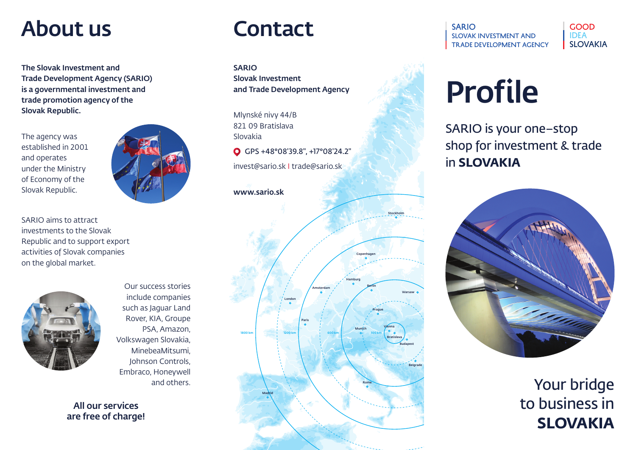### About us

The Slovak Investment and Trade Development Agency (SARIO) is a governmental investment and trade promotion agency of the Slovak Republic.

The agency was established in 2001 and operates under the Ministry of Economy of the Slovak Republic.



SARIO aims to attract investments to the Slovak Republic and to support export activities of Slovak companies on the global market.



Our success stories include companies such as Jaguar Land Rover, KIA, Groupe PSA, Amazon, Volkswagen Slovakia, MinebeaMitsumi, Johnson Controls, Embraco, Honeywell and others.

All our services are free of charge!

### Contact

SARIO Slovak Investment and Trade Development Agency

Mlynské nivy 44/B 821 09 Bratislava Slovakia

GPS +48°08'39.8", +17°08'24.2"

invest@sario.sk I trade@sario.sk

### www.sario.sk





GOOD IDEA SLOVAKIA

# Profile

SARIO is your one–stop shop for investment & trade in **SLOVAKIA**



Your bridge to business in **SLOVAKIA**